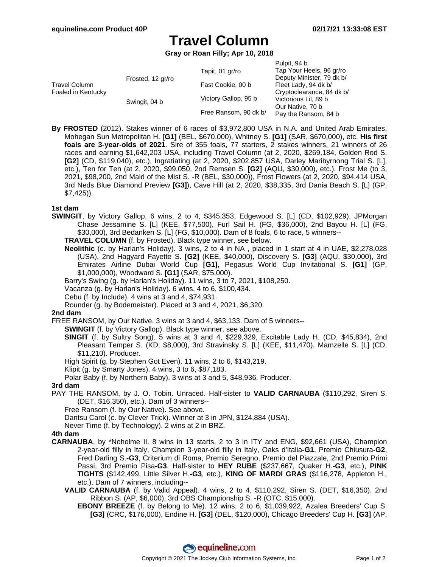# **Travel Column**

**Gray or Roan Filly; Apr 10, 2018**

|                                     |                   |                       | Pulpit, 94 b              |
|-------------------------------------|-------------------|-----------------------|---------------------------|
| Travel Column<br>Foaled in Kentucky | Frosted, 12 gr/ro | Tapit, 01 gr/ro       | Tap Your Heels, 96 gr/ro  |
|                                     |                   |                       | Deputy Minister, 79 dk b/ |
|                                     |                   | Fast Cookie, 00 b     | Fleet Lady, 94 dk b/      |
|                                     |                   |                       | Cryptoclearance, 84 dk b/ |
|                                     | Swingit, 04 b     | Victory Gallop, 95 b  | Victorious Lil, 89 b      |
|                                     |                   | Free Ransom, 90 dk b/ | Our Native, 70 b          |
|                                     |                   |                       | Pay the Ransom, 84 b      |

**By FROSTED** (2012). Stakes winner of 6 races of \$3,972,800 USA in N.A. and United Arab Emirates, Mohegan Sun Metropolitan H. **[G1]** (BEL, \$670,000), Whitney S. **[G1]** (SAR, \$670,000), etc. **His first foals are 3-year-olds of 2021**. Sire of 355 foals, 77 starters, 2 stakes winners, 21 winners of 26 races and earning \$1,642,203 USA, including Travel Column (at 2, 2020, \$269,184, Golden Rod S. **[G2]** (CD, \$119,040), etc.), Ingratiating (at 2, 2020, \$202,857 USA, Darley Maribyrnong Trial S. [L], etc.), Ten for Ten (at 2, 2020, \$99,050, 2nd Remsen S. **[G2]** (AQU, \$30,000), etc.), Frost Me (to 3, 2021, \$98,200, 2nd Maid of the Mist S. -R (BEL, \$30,000)), Frost Flowers (at 2, 2020, \$94,414 USA, 3rd Neds Blue Diamond Preview **[G3]**), Cave Hill (at 2, 2020, \$38,335, 3rd Dania Beach S. [L] (GP, \$7,425)).

## **1st dam**

**SWINGIT**, by Victory Gallop. 6 wins, 2 to 4, \$345,353, Edgewood S. [L] (CD, \$102,929), JPMorgan Chase Jessamine S. [L] (KEE, \$77,500), Furl Sail H. (FG, \$36,000), 2nd Bayou H. [L] (FG, \$30,000), 3rd Bedanken S. [L] (FG, \$10,000). Dam of 8 foals, 6 to race, 5 winners--

**TRAVEL COLUMN** (f. by Frosted). Black type winner, see below.

- **Neolithic** (c. by Harlan's Holiday). 3 wins, 2 to 4 in NA , placed in 1 start at 4 in UAE, \$2,278,028 (USA), 2nd Hagyard Fayette S. **[G2]** (KEE, \$40,000), Discovery S. **[G3]** (AQU, \$30,000), 3rd Emirates Airline Dubai World Cup **[G1]**, Pegasus World Cup Invitational S. **[G1]** (GP, \$1,000,000), Woodward S. **[G1]** (SAR, \$75,000).
- Barry's Swing (g. by Harlan's Holiday). 11 wins, 3 to 7, 2021, \$108,250.
- Vacanza (g. by Harlan's Holiday). 6 wins, 4 to 6, \$100,434.
- Cebu (f. by Include). 4 wins at 3 and 4, \$74,931.
- Rounder (g. by Bodemeister). Placed at 3 and 4, 2021, \$6,320.

## **2nd dam**

FREE RANSOM, by Our Native. 3 wins at 3 and 4, \$63,133. Dam of 5 winners--

- **SWINGIT** (f. by Victory Gallop). Black type winner, see above.
- **SINGIT** (f. by Sultry Song). 5 wins at 3 and 4, \$229,329, Excitable Lady H. (CD, \$45,834), 2nd Pleasant Temper S. (KD, \$8,000), 3rd Stravinsky S. [L] (KEE, \$11,470), Mamzelle S. [L] (CD, \$11,210). Producer.
- High Spirit (g. by Stephen Got Even). 11 wins, 2 to 6, \$143,219.
- Klipit (g. by Smarty Jones). 4 wins, 3 to 6, \$87,183.

Polar Baby (f. by Northern Baby). 3 wins at 3 and 5, \$48,936. Producer.

#### **3rd dam**

- PAY THE RANSOM, by J. O. Tobin. Unraced. Half-sister to **VALID CARNAUBA** (\$110,292, Siren S. (DET, \$16,350), etc.). Dam of 3 winners--
	- Free Ransom (f. by Our Native). See above.

Dantsu Carol (c. by Clever Trick). Winner at 3 in JPN, \$124,884 (USA).

Never Time (f. by Technology). 2 wins at 2 in BRZ.

## **4th dam**

- **CARNAUBA**, by \*Noholme II. 8 wins in 13 starts, 2 to 3 in ITY and ENG, \$92,661 (USA), Champion 2-year-old filly in Italy, Champion 3-year-old filly in Italy, Oaks d'Italia**-G1**, Premio Chiusura**-G2**, Fred Darling S.**-G3**, Criterium di Roma, Premio Seregno, Premio del Piazzale, 2nd Premio Primi Passi, 3rd Premio Pisa**-G3**. Half-sister to **HEY RUBE** (\$237,667, Quaker H.**-G3**, etc.), **PINK TIGHTS** (\$142,499, Little Silver H.**-G3**, etc.), **KING OF MARDI GRAS** (\$116,278, Appleton H., etc.). Dam of 7 winners, including--
	- **VALID CARNAUBA** (f. by Valid Appeal). 4 wins, 2 to 4, \$110,292, Siren S. (DET, \$16,350), 2nd Ribbon S. (AP, \$6,000), 3rd OBS Championship S. -R (OTC, \$15,000).
		- **EBONY BREEZE** (f. by Belong to Me). 12 wins, 2 to 6, \$1,039,922, Azalea Breeders' Cup S. **[G3]** (CRC, \$176,000), Endine H. **[G3]** (DEL, \$120,000), Chicago Breeders' Cup H. **[G3]** (AP,